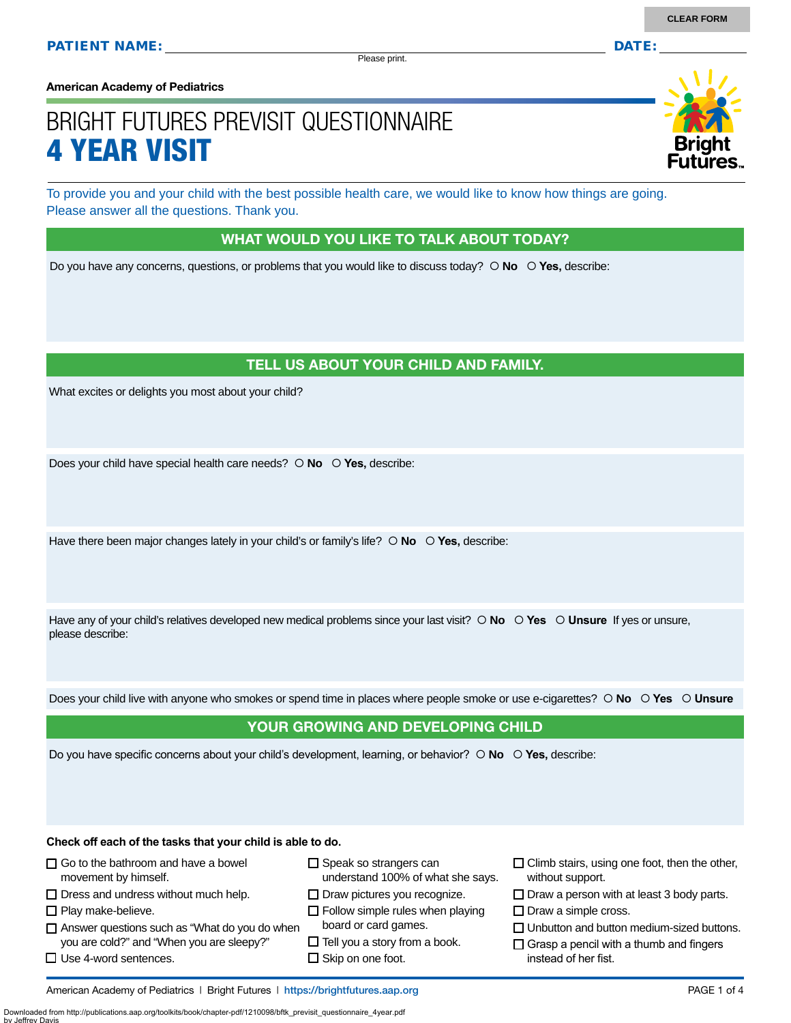Please print.

**American Academy of Pediatrics**

# BRIGHT FUTURES PREVISIT QUESTIONNAIRE 4 YEAR VISIT

To provide you and your child with the best possible health care, we would like to know how things are going. Please answer all the questions. Thank you.

#### WHAT WOULD YOU LIKE TO TALK ABOUT TODAY?

Do you have any concerns, questions, or problems that you would like to discuss today?  $\circ$  **No**  $\circ$  **Yes**, describe:

#### TELL US ABOUT YOUR CHILD AND FAMILY.

What excites or delights you most about your child?

Does your child have special health care needs?  $\circ$  **No**  $\circ$  **Yes**, describe:

Have there been major changes lately in your child's or family's life?  $\circ$  **No**  $\circ$  **Yes**, describe:

Have any of your child's relatives developed new medical problems since your last visit?  $\circ$  **No**  $\circ$  **Yes**  $\circ$  **Unsure** If yes or unsure, please describe:

Does your child live with anyone who smokes or spend time in places where people smoke or use e-cigarettes?  **No Yes Unsure**

#### YOUR GROWING AND DEVELOPING CHILD

Do you have specific concerns about your child's development, learning, or behavior?  $\circ$  **No**  $\circ$  **Yes**, describe:

**Check off each of the tasks that your child is able to do.**

 $\Box$  Use 4-word sentences.

| $\Box$ Go to the bathroom and have a bowel           | $\Box$ Speak so strangers can           |
|------------------------------------------------------|-----------------------------------------|
| movement by himself.                                 | understand 100% of what she says.       |
| $\Box$ Dress and undress without much help.          | $\Box$ Draw pictures you recognize.     |
| $\Box$ Play make-believe.                            | $\Box$ Follow simple rules when playing |
| $\Box$ Answer questions such as "What do you do when | board or card games.                    |
| you are cold?" and "When you are sleepy?"            | $\Box$ Tell you a story from a book.    |

 $\square$  Skip on one foot.

- $\Box$  Climb stairs, using one foot, then the other, without support.
- $\square$  Draw a person with at least 3 body parts.
- $\square$  Draw a simple cross.
- $\Box$  Unbutton and button medium-sized buttons.
- $\Box$  Grasp a pencil with a thumb and fingers instead of her fist.

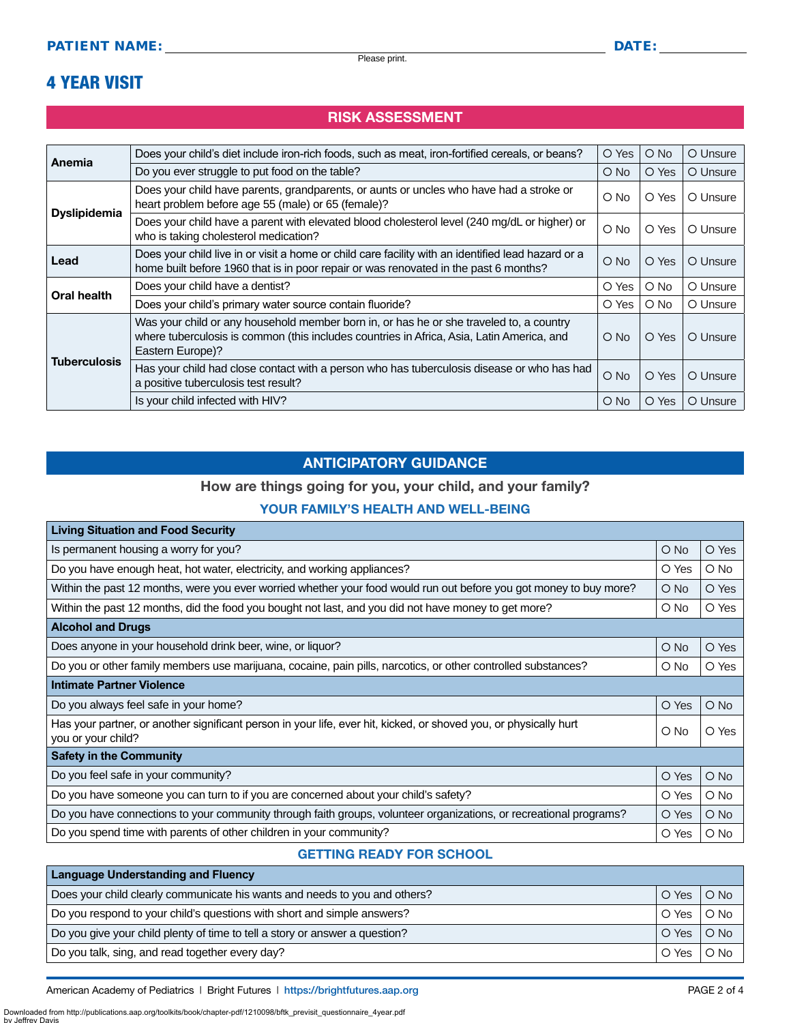### 4 YEAR VISIT

#### RISK ASSESSMENT

| Anemia              | Does your child's diet include iron-rich foods, such as meat, iron-fortified cereals, or beans?                                                                                                          | O Yes      | $\bigcirc$ No | O Unsure |
|---------------------|----------------------------------------------------------------------------------------------------------------------------------------------------------------------------------------------------------|------------|---------------|----------|
|                     | Do you ever struggle to put food on the table?                                                                                                                                                           | O No       | O Yes         | O Unsure |
| <b>Dyslipidemia</b> | Does your child have parents, grandparents, or aunts or uncles who have had a stroke or<br>heart problem before age 55 (male) or 65 (female)?                                                            | O No       | O Yes         | O Unsure |
|                     | Does your child have a parent with elevated blood cholesterol level (240 mg/dL or higher) or<br>who is taking cholesterol medication?                                                                    | $\circ$ No | O Yes         | O Unsure |
| Lead                | Does your child live in or visit a home or child care facility with an identified lead hazard or a<br>home built before 1960 that is in poor repair or was renovated in the past 6 months?               | $O$ No     | O Yes         | O Unsure |
| <b>Oral health</b>  | Does your child have a dentist?                                                                                                                                                                          | O Yes      | O No          | O Unsure |
|                     | Does your child's primary water source contain fluoride?                                                                                                                                                 | O Yes      | $\bigcirc$ No | O Unsure |
|                     | Was your child or any household member born in, or has he or she traveled to, a country<br>where tuberculosis is common (this includes countries in Africa, Asia, Latin America, and<br>Eastern Europe)? | $\circ$ No | O Yes         | O Unsure |
| <b>Tuberculosis</b> | Has your child had close contact with a person who has tuberculosis disease or who has had<br>a positive tuberculosis test result?                                                                       | $O$ No     | O Yes         | O Unsure |
|                     | Is your child infected with HIV?                                                                                                                                                                         | O No       | O Yes         | O Unsure |

#### ANTICIPATORY GUIDANCE

#### How are things going for you, your child, and your family?

#### YOUR FAMILY'S HEALTH AND WELL-BEING

| <b>Living Situation and Food Security</b>                                                                                               |               |               |  |
|-----------------------------------------------------------------------------------------------------------------------------------------|---------------|---------------|--|
| Is permanent housing a worry for you?                                                                                                   | $\bigcirc$ No | O Yes         |  |
| Do you have enough heat, hot water, electricity, and working appliances?                                                                | O Yes         | $\circ$ No    |  |
| Within the past 12 months, were you ever worried whether your food would run out before you got money to buy more?                      | O No          | O Yes         |  |
| Within the past 12 months, did the food you bought not last, and you did not have money to get more?                                    | O No          | O Yes         |  |
| <b>Alcohol and Drugs</b>                                                                                                                |               |               |  |
| Does anyone in your household drink beer, wine, or liquor?                                                                              | O No          | O Yes         |  |
| Do you or other family members use marijuana, cocaine, pain pills, narcotics, or other controlled substances?                           | O No          | O Yes         |  |
| Intimate Partner Violence                                                                                                               |               |               |  |
| Do you always feel safe in your home?                                                                                                   | O Yes         | $\bigcirc$ No |  |
| Has your partner, or another significant person in your life, ever hit, kicked, or shoved you, or physically hurt<br>you or your child? | O No          | O Yes         |  |
| <b>Safety in the Community</b>                                                                                                          |               |               |  |
| Do you feel safe in your community?                                                                                                     | O Yes         | $\bigcirc$ No |  |
| Do you have someone you can turn to if you are concerned about your child's safety?                                                     | O Yes         | $\bigcirc$ No |  |
| Do you have connections to your community through faith groups, volunteer organizations, or recreational programs?                      | O Yes         | $\bigcirc$ No |  |
| Do you spend time with parents of other children in your community?                                                                     | O Yes         | O No          |  |

#### GETTING READY FOR SCHOOL

| <b>Language Understanding and Fluency</b>                                   |       |        |
|-----------------------------------------------------------------------------|-------|--------|
| Does your child clearly communicate his wants and needs to you and others?  | O Yes | $O$ No |
| Do you respond to your child's questions with short and simple answers?     | O Yes | $O$ No |
| Do you give your child plenty of time to tell a story or answer a question? | O Yes | $O$ No |
| Do you talk, sing, and read together every day?                             | O Yes | $O$ No |

American Academy of Pediatrics | Bright Futures | https:/[/brightfutures.aap.org](https://brightfutures.aap.org/Pages/default.aspx) | Namerican Academy of PAGE 2 of 4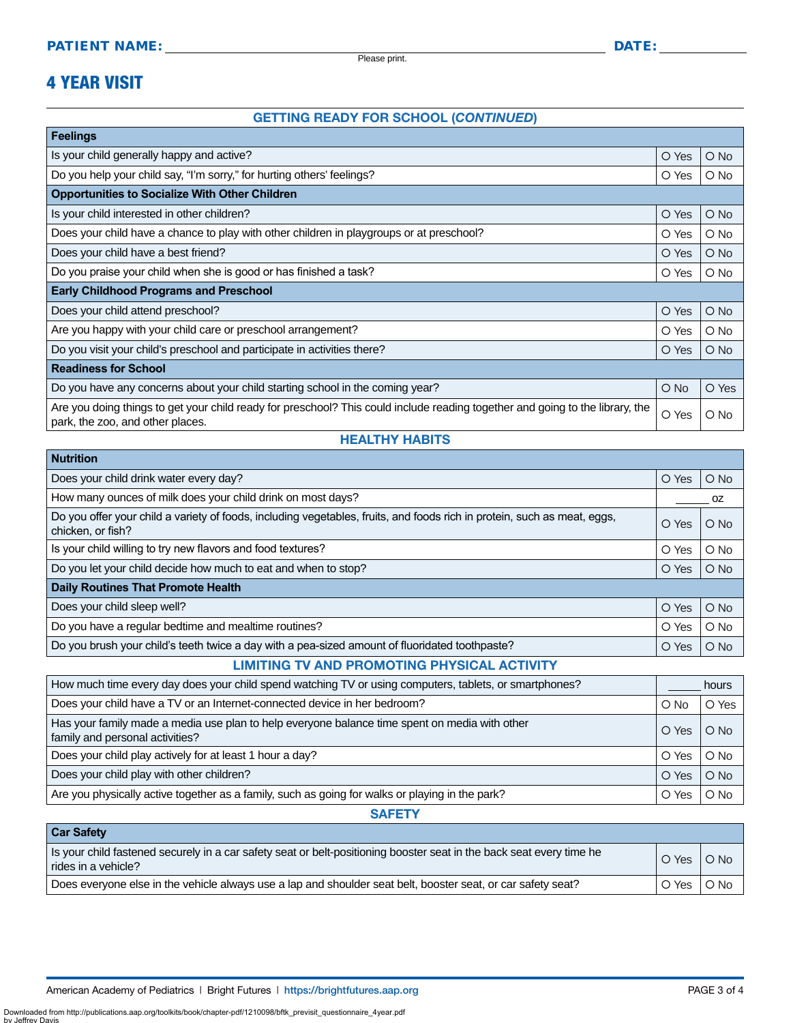Please print.

## 4 YEAR VISIT

**Nutrition**

by Jeffrey Da

#### GETTING READY FOR SCHOOL (*CONTINUED*)

| <b>Feelings</b>                                                                                                                                                   |        |               |  |
|-------------------------------------------------------------------------------------------------------------------------------------------------------------------|--------|---------------|--|
| Is your child generally happy and active?                                                                                                                         | O Yes  | $O$ No        |  |
| Do you help your child say, "I'm sorry," for hurting others' feelings?                                                                                            | O Yes  | $\circ$ No    |  |
| <b>Opportunities to Socialize With Other Children</b>                                                                                                             |        |               |  |
| Is your child interested in other children?                                                                                                                       | O Yes  | $O$ No        |  |
| Does your child have a chance to play with other children in playgroups or at preschool?                                                                          | O Yes  | $\bigcirc$ No |  |
| Does your child have a best friend?                                                                                                                               | O Yes  | $\bigcirc$ No |  |
| Do you praise your child when she is good or has finished a task?                                                                                                 | O Yes  | $\bigcirc$ No |  |
| <b>Early Childhood Programs and Preschool</b>                                                                                                                     |        |               |  |
| Does your child attend preschool?                                                                                                                                 | O Yes  | $\bigcirc$ No |  |
| Are you happy with your child care or preschool arrangement?                                                                                                      | O Yes  | $\bigcirc$ No |  |
| Do you visit your child's preschool and participate in activities there?                                                                                          | O Yes  | $\bigcirc$ No |  |
| <b>Readiness for School</b>                                                                                                                                       |        |               |  |
| Do you have any concerns about your child starting school in the coming year?                                                                                     | $O$ No | O Yes         |  |
| Are you doing things to get your child ready for preschool? This could include reading together and going to the library, the<br>park, the zoo, and other places. | O Yes  | O No          |  |

#### HEALTHY HABITS

| nuu kon                                                                                                                                       |       |               |  |
|-----------------------------------------------------------------------------------------------------------------------------------------------|-------|---------------|--|
| Does your child drink water every day?                                                                                                        | O Yes | $O$ No        |  |
| How many ounces of milk does your child drink on most days?                                                                                   |       | OZ.           |  |
| Do you offer your child a variety of foods, including vegetables, fruits, and foods rich in protein, such as meat, eggs,<br>chicken, or fish? | O Yes | $O$ No        |  |
| Is your child willing to try new flavors and food textures?                                                                                   | O Yes | $O$ No        |  |
| Do you let your child decide how much to eat and when to stop?                                                                                | O Yes | $O$ No        |  |
| <b>Daily Routines That Promote Health</b>                                                                                                     |       |               |  |
| Does your child sleep well?                                                                                                                   | O Yes | $O$ No        |  |
| Do you have a regular bedtime and mealtime routines?                                                                                          | O Yes | $O$ No        |  |
| Do you brush your child's teeth twice a day with a pea-sized amount of fluoridated toothpaste?                                                | O Yes | $\bigcirc$ No |  |

#### LIMITING TV AND PROMOTING PHYSICAL ACTIVITY

| How much time every day does your child spend watching TV or using computers, tablets, or smartphones?                           |       | hours  |  |
|----------------------------------------------------------------------------------------------------------------------------------|-------|--------|--|
| Does your child have a TV or an Internet-connected device in her bedroom?                                                        | O No  | O Yes  |  |
| Has your family made a media use plan to help everyone balance time spent on media with other<br>family and personal activities? | O Yes | $O$ No |  |
| Does your child play actively for at least 1 hour a day?                                                                         | O Yes | $O$ No |  |
| Does your child play with other children?                                                                                        | O Yes | $O$ No |  |
| Are you physically active together as a family, such as going for walks or playing in the park?                                  | O Yes | $O$ No |  |

**SAFETY** 

| <b>Car Safety</b>                                                                                                                           |                         |               |
|---------------------------------------------------------------------------------------------------------------------------------------------|-------------------------|---------------|
| Is your child fastened securely in a car safety seat or belt-positioning booster seat in the back seat every time he<br>rides in a vehicle? | $\circ$ Yes $\parallel$ | $O$ No        |
| Does everyone else in the vehicle always use a lap and shoulder seat belt, booster seat, or car safety seat?                                | O Yes                   | $\bigcirc$ No |

Downloaded from http://publications.aap.org/toolkits/book/chapter-pdf/1210098/bftk\_previsit\_questionnaire\_4year.pdf